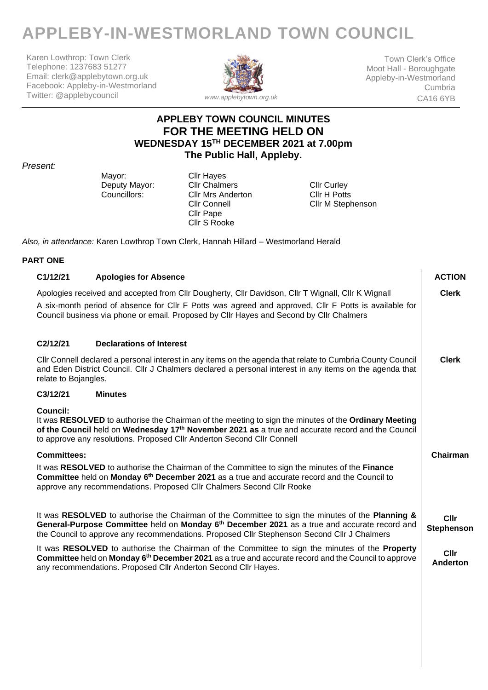# **APPLEBY-IN-WESTMORLAND TOWN COUNCIL**

Karen Lowthrop: Town Clerk Telephone: 1237683 51277 Email: clerk@applebytown.org.uk Facebook: Appleby-in-Westmorland Twitter: @applebycouncil



Town Clerk's Office Moot Hall - Boroughgate Appleby-in-Westmorland Cumbria CA16 6YB

# **APPLEBY TOWN COUNCIL MINUTES FOR THE MEETING HELD ON WEDNESDAY 15 TH DECEMBER 2021 at 7.00pm The Public Hall, Appleby.**

*Present:* 

Mayor: Cllr Hayes<br>Deputy Mayor: Cllr Chalmers

Deputy Mayor: Cllr Chalmers Clear Cllr Curley<br>
Councillors: Cllr Mrs Anderton Cllr H Potts Cllr Mrs Anderton<br>Cllr Connell Cllr Pape Cllr S Rooke

Cllr M Stephenson

*Also, in attendance:* Karen Lowthrop Town Clerk, Hannah Hillard – Westmorland Herald

## **PART ONE**

|                                                                                                                                                                                                                                                                                                             | C1/12/21                                                                                                                                                                                                                                                                                                    | <b>Apologies for Absence</b>                                                                                                                                                                                                                                                        | <b>ACTION</b>    |  |
|-------------------------------------------------------------------------------------------------------------------------------------------------------------------------------------------------------------------------------------------------------------------------------------------------------------|-------------------------------------------------------------------------------------------------------------------------------------------------------------------------------------------------------------------------------------------------------------------------------------------------------------|-------------------------------------------------------------------------------------------------------------------------------------------------------------------------------------------------------------------------------------------------------------------------------------|------------------|--|
|                                                                                                                                                                                                                                                                                                             | Apologies received and accepted from CIIr Dougherty, CIIr Davidson, CIIr T Wignall, CIIr K Wignall<br>A six-month period of absence for Cllr F Potts was agreed and approved, Cllr F Potts is available for<br>Council business via phone or email. Proposed by Cllr Hayes and Second by Cllr Chalmers      |                                                                                                                                                                                                                                                                                     | <b>Clerk</b>     |  |
|                                                                                                                                                                                                                                                                                                             | C <sub>2</sub> /12/21                                                                                                                                                                                                                                                                                       | <b>Declarations of Interest</b>                                                                                                                                                                                                                                                     |                  |  |
| CIIr Connell declared a personal interest in any items on the agenda that relate to Cumbria County Council<br>and Eden District Council. Cllr J Chalmers declared a personal interest in any items on the agenda that<br>relate to Bojangles.                                                               |                                                                                                                                                                                                                                                                                                             | <b>Clerk</b>                                                                                                                                                                                                                                                                        |                  |  |
|                                                                                                                                                                                                                                                                                                             | C3/12/21                                                                                                                                                                                                                                                                                                    | <b>Minutes</b>                                                                                                                                                                                                                                                                      |                  |  |
|                                                                                                                                                                                                                                                                                                             | Council:<br>It was RESOLVED to authorise the Chairman of the meeting to sign the minutes of the Ordinary Meeting<br>of the Council held on Wednesday 17 <sup>th</sup> November 2021 as a true and accurate record and the Council<br>to approve any resolutions. Proposed Cllr Anderton Second Cllr Connell |                                                                                                                                                                                                                                                                                     |                  |  |
|                                                                                                                                                                                                                                                                                                             | <b>Committees:</b>                                                                                                                                                                                                                                                                                          |                                                                                                                                                                                                                                                                                     | Chairman         |  |
|                                                                                                                                                                                                                                                                                                             | It was RESOLVED to authorise the Chairman of the Committee to sign the minutes of the Finance<br>Committee held on Monday 6 <sup>th</sup> December 2021 as a true and accurate record and the Council to<br>approve any recommendations. Proposed Cllr Chalmers Second Cllr Rooke                           |                                                                                                                                                                                                                                                                                     |                  |  |
| It was RESOLVED to authorise the Chairman of the Committee to sign the minutes of the Planning &<br>General-Purpose Committee held on Monday 6 <sup>th</sup> December 2021 as a true and accurate record and<br>the Council to approve any recommendations. Proposed Cllr Stephenson Second Cllr J Chalmers |                                                                                                                                                                                                                                                                                                             | <b>Cllr</b><br><b>Stephenson</b>                                                                                                                                                                                                                                                    |                  |  |
|                                                                                                                                                                                                                                                                                                             |                                                                                                                                                                                                                                                                                                             | It was RESOLVED to authorise the Chairman of the Committee to sign the minutes of the Property<br>Committee held on Monday 6 <sup>th</sup> December 2021 as a true and accurate record and the Council to approve<br>any recommendations. Proposed Cllr Anderton Second Cllr Hayes. | Cllr<br>Anderton |  |
|                                                                                                                                                                                                                                                                                                             |                                                                                                                                                                                                                                                                                                             |                                                                                                                                                                                                                                                                                     |                  |  |
|                                                                                                                                                                                                                                                                                                             |                                                                                                                                                                                                                                                                                                             |                                                                                                                                                                                                                                                                                     |                  |  |